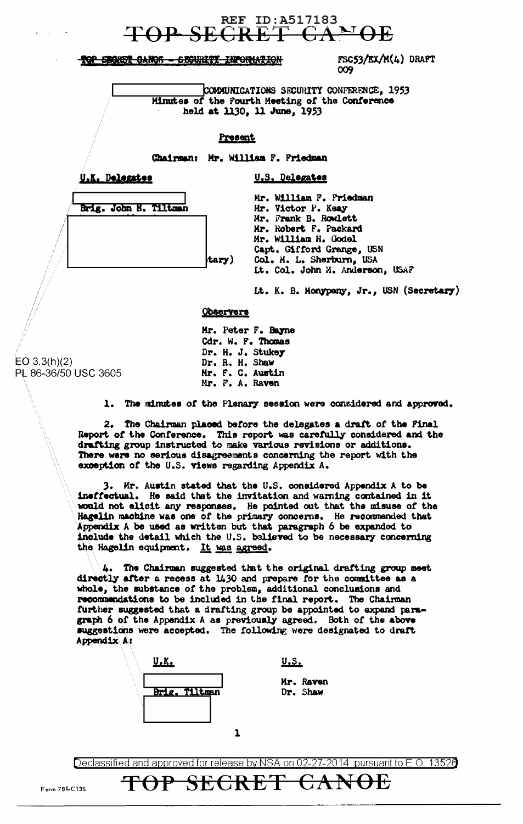# **REF ID:A517183**

TOP SEGRET CANOR - SECURITY INFORMATION

FSC53/EX/M(4) DRAFT 009

COMMUNICATIONS SECURITY CONFERENCE, 1953 Minutes of the Pourth Meeting of the Conference held at 1130, 11 June, 1953

U.S. Delegates

### Present

Chairman: Mr. William F. Friedman

U.K. Delegates

Brig. John H. Tiltman

| Mr. William F. Friedman         |
|---------------------------------|
| Mr. Victor P. Keay              |
| Mr. Frank B. Rowlett            |
| Mr. Robert F. Packard           |
| Mr. William H. Godel            |
| Capt. Gifford Grange, USN       |
| Col. M. L. Sherburn, USA        |
| Lt. Col. John M. Anderson, USAF |
|                                 |

It. K. B. Monypeny, Jr., USN (Secretary)

#### **Observers**

tary

Mr. Peter F. Bayne Cdr. W. F. Thomas Dr. H. J. Stukey Dr. R. H. Shaw Mr. F. C. Austin Mr. F. A. Raven

 $EO 3.3(h)(2)$ PL 86-36/50 USC 3605

1. The minutes of the Plenary session were considered and approved.

2. The Chairman placed before the delegates a draft of the Final Report of the Conference. This report was carefully considered and the drafting group instructed to make various revisions or additions. There were no serious disagreements concerning the report with the exception of the U.S. views regarding Appendix A.

3. Mr. Austin stated that the U.S. considered Appendix A to be ineffectual. He said that the invitation and warning contained in it would not elicit any responses. He pointed out that the misuse of the Hagelin machine was one of the primary concerns. He recommended that Appendix A be used as written but that paragraph 6 be expanded to include the detail which the U.S. believed to be necessary concerning the Hagelin equipment. It was agreed.

4. The Chairman suggested that the original drafting group meet directly after a recess at 1430 and prepare for the committee as a whole, the substance of the problem, additional conclusions and recommendations to be included in the final report. The Chairman further suggested that a drafting group be appointed to expand paragraph 6 of the Appendix A as previously agreed. Both of the above suggestions were accepted. The following were designated to draft Appendix A:



TOP SECRET

 $U.S.$ 

Mr. Raven Dr. Shaw

CANOE

Declassified and approved for release by NSA on 02-27-2014 pursuant to E.O. 13526

Form 781-C13S